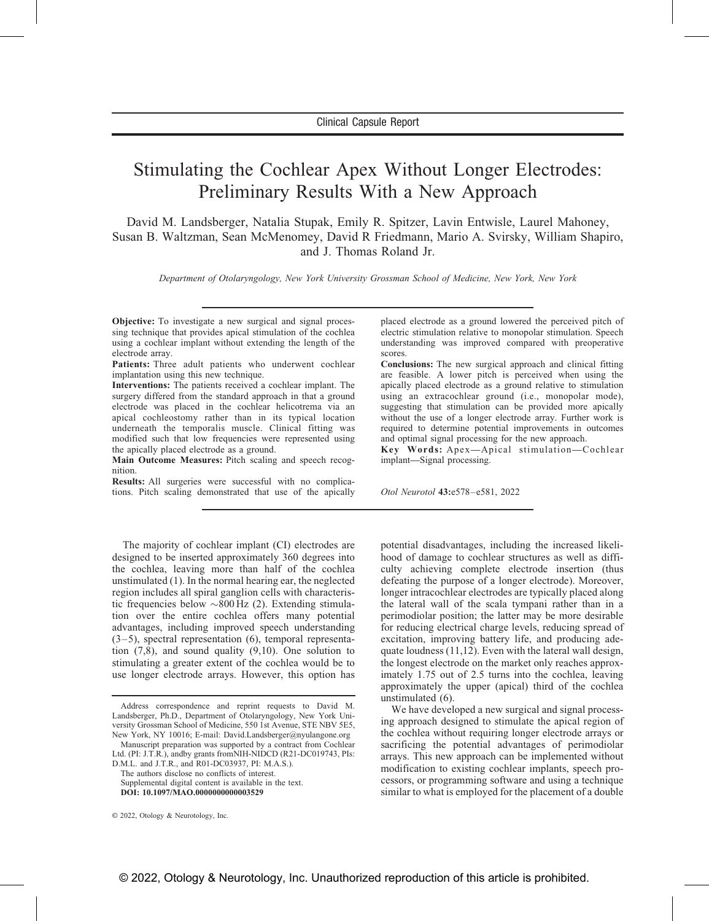# Stimulating the Cochlear Apex Without Longer Electrodes: Preliminary Results With a New Approach

David M. Landsberger, Natalia Stupak, Emily R. Spitzer, Lavin Entwisle, Laurel Mahoney, Susan B. Waltzman, Sean McMenomey, David R Friedmann, Mario A. Svirsky, William Shapiro, and J. Thomas Roland Jr.

Department of Otolaryngology, New York University Grossman School of Medicine, New York, New York

Objective: To investigate a new surgical and signal processing technique that provides apical stimulation of the cochlea using a cochlear implant without extending the length of the electrode array.

Patients: Three adult patients who underwent cochlear implantation using this new technique.

Interventions: The patients received a cochlear implant. The surgery differed from the standard approach in that a ground electrode was placed in the cochlear helicotrema via an apical cochleostomy rather than in its typical location underneath the temporalis muscle. Clinical fitting was modified such that low frequencies were represented using the apically placed electrode as a ground.

Main Outcome Measures: Pitch scaling and speech recognition.

Results: All surgeries were successful with no complications. Pitch scaling demonstrated that use of the apically

The majority of cochlear implant (CI) electrodes are designed to be inserted approximately 360 degrees into the cochlea, leaving more than half of the cochlea unstimulated [\(1\)](#page-3-0). In the normal hearing ear, the neglected region includes all spiral ganglion cells with characteristic frequencies below  $\sim 800$  Hz [\(2\).](#page-3-0) Extending stimulation over the entire cochlea offers many potential advantages, including improved speech understanding  $(3-5)$ , spectral representation  $(6)$ , temporal representation  $(7,8)$ , and sound quality  $(9,10)$ . One solution to stimulating a greater extent of the cochlea would be to use longer electrode arrays. However, this option has

Manuscript preparation was supported by a contract from Cochlear Ltd. (PI: J.T.R.), andby grants fromNIH-NIDCD (R21-DC019743, PIs:

D.M.L. and J.T.R., and R01-DC03937, PI: M.A.S.). The authors disclose no conflicts of interest.

Supplemental digital content is available in the text. DOI: 10.1097/MAO.0000000000003529

placed electrode as a ground lowered the perceived pitch of electric stimulation relative to monopolar stimulation. Speech understanding was improved compared with preoperative scores.

Conclusions: The new surgical approach and clinical fitting are feasible. A lower pitch is perceived when using the apically placed electrode as a ground relative to stimulation using an extracochlear ground (i.e., monopolar mode), suggesting that stimulation can be provided more apically without the use of a longer electrode array. Further work is required to determine potential improvements in outcomes and optimal signal processing for the new approach.

Key Words: Apex—Apical stimulation—Cochlear implant—Signal processing.

Otol Neurotol 43:e578–e581, 2022

potential disadvantages, including the increased likelihood of damage to cochlear structures as well as difficulty achieving complete electrode insertion (thus defeating the purpose of a longer electrode). Moreover, longer intracochlear electrodes are typically placed along the lateral wall of the scala tympani rather than in a perimodiolar position; the latter may be more desirable for reducing electrical charge levels, reducing spread of excitation, improving battery life, and producing adequate loudness [\(11,12\).](#page-3-0) Even with the lateral wall design, the longest electrode on the market only reaches approximately 1.75 out of 2.5 turns into the cochlea, leaving approximately the upper (apical) third of the cochlea unstimulated [\(6\)](#page-3-0).

We have developed a new surgical and signal processing approach designed to stimulate the apical region of the cochlea without requiring longer electrode arrays or sacrificing the potential advantages of perimodiolar arrays. This new approach can be implemented without modification to existing cochlear implants, speech processors, or programming software and using a technique similar to what is employed for the placement of a double

Address correspondence and reprint requests to David M. Landsberger, Ph.D., Department of Otolaryngology, New York University Grossman School of Medicine, 550 1st Avenue, STE NBV 5E5, New York, NY 10016; E-mail: [David.Landsberger@nyulangone.org](mailto:David.Landsberger@nyulangone.org)

<sup>©</sup> 2022, Otology & Neurotology, Inc.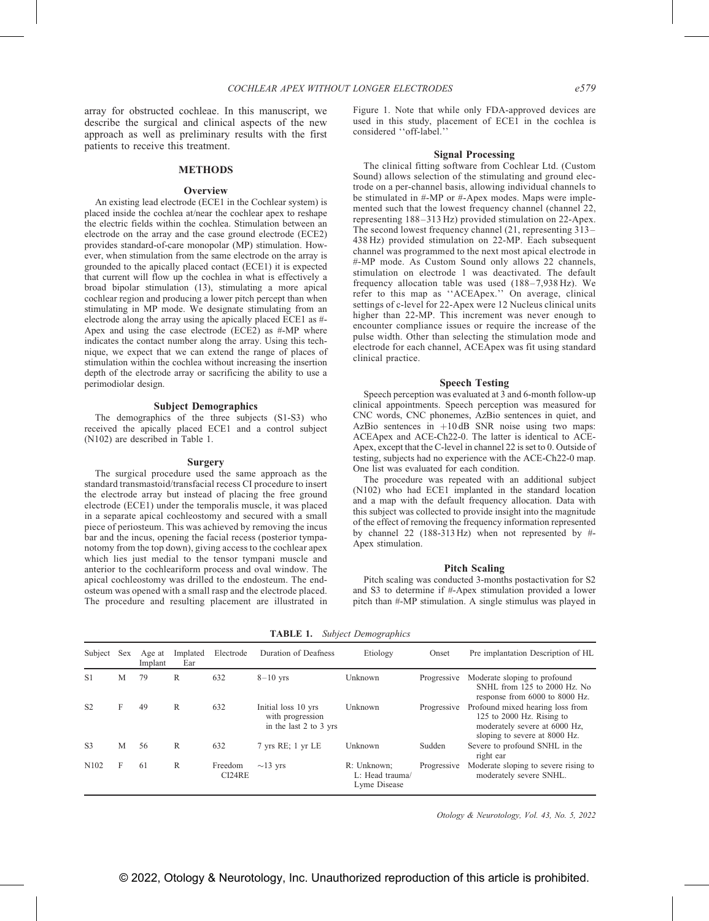array for obstructed cochleae. In this manuscript, we describe the surgical and clinical aspects of the new approach as well as preliminary results with the first patients to receive this treatment.

## METHODS

## **Overview**

An existing lead electrode (ECE1 in the Cochlear system) is placed inside the cochlea at/near the cochlear apex to reshape the electric fields within the cochlea. Stimulation between an electrode on the array and the case ground electrode (ECE2) provides standard-of-care monopolar (MP) stimulation. However, when stimulation from the same electrode on the array is grounded to the apically placed contact (ECE1) it is expected that current will flow up the cochlea in what is effectively a broad bipolar stimulation [\(13\),](#page-3-0) stimulating a more apical cochlear region and producing a lower pitch percept than when stimulating in MP mode. We designate stimulating from an electrode along the array using the apically placed ECE1 as #- Apex and using the case electrode (ECE2) as #-MP where indicates the contact number along the array. Using this technique, we expect that we can extend the range of places of stimulation within the cochlea without increasing the insertion depth of the electrode array or sacrificing the ability to use a perimodiolar design.

## Subject Demographics

The demographics of the three subjects (S1-S3) who received the apically placed ECE1 and a control subject (N102) are described in Table 1.

#### Surgery

The surgical procedure used the same approach as the standard transmastoid/transfacial recess CI procedure to insert the electrode array but instead of placing the free ground electrode (ECE1) under the temporalis muscle, it was placed in a separate apical cochleostomy and secured with a small piece of periosteum. This was achieved by removing the incus bar and the incus, opening the facial recess (posterior tympanotomy from the top down), giving access to the cochlear apex which lies just medial to the tensor tympani muscle and anterior to the cochleariform process and oval window. The apical cochleostomy was drilled to the endosteum. The endosteum was opened with a small rasp and the electrode placed. The procedure and resulting placement are illustrated in Figure 1. Note that while only FDA-approved devices are used in this study, placement of ECE1 in the cochlea is considered ''off-label.''

#### Signal Processing

The clinical fitting software from Cochlear Ltd. (Custom Sound) allows selection of the stimulating and ground electrode on a per-channel basis, allowing individual channels to be stimulated in #-MP or #-Apex modes. Maps were implemented such that the lowest frequency channel (channel 22, representing 188–313 Hz) provided stimulation on 22-Apex. The second lowest frequency channel (21, representing 313– 438 Hz) provided stimulation on 22-MP. Each subsequent channel was programmed to the next most apical electrode in #-MP mode. As Custom Sound only allows 22 channels, stimulation on electrode 1 was deactivated. The default frequency allocation table was used (188–7,938 Hz). We refer to this map as ''ACEApex.'' On average, clinical settings of c-level for 22-Apex were 12 Nucleus clinical units higher than 22-MP. This increment was never enough to encounter compliance issues or require the increase of the pulse width. Other than selecting the stimulation mode and electrode for each channel, ACEApex was fit using standard clinical practice.

#### Speech Testing

Speech perception was evaluated at 3 and 6-month follow-up clinical appointments. Speech perception was measured for CNC words, CNC phonemes, AzBio sentences in quiet, and AzBio sentences in  $+10$  dB SNR noise using two maps: ACEApex and ACE-Ch22-0. The latter is identical to ACE-Apex, except that the C-level in channel 22 is set to 0. Outside of testing, subjects had no experience with the ACE-Ch22-0 map. One list was evaluated for each condition.

The procedure was repeated with an additional subject (N102) who had ECE1 implanted in the standard location and a map with the default frequency allocation. Data with this subject was collected to provide insight into the magnitude of the effect of removing the frequency information represented by channel 22 (188-313 Hz) when not represented by #- Apex stimulation.

## Pitch Scaling

Pitch scaling was conducted 3-months postactivation for S2 and S3 to determine if #-Apex stimulation provided a lower pitch than #-MP stimulation. A single stimulus was played in

| Subject          | <b>Sex</b> | Age at<br>Implant | Implated<br>Ear | Electrode         | Duration of Deafness                                              | Etiology                                       | Onset       | Pre implantation Description of HL                                                                                              |
|------------------|------------|-------------------|-----------------|-------------------|-------------------------------------------------------------------|------------------------------------------------|-------------|---------------------------------------------------------------------------------------------------------------------------------|
| S <sub>1</sub>   | M          | 79                | R               | 632               | $8-10$ yrs                                                        | Unknown                                        | Progressive | Moderate sloping to profound<br>SNHL from 125 to 2000 Hz. No<br>response from 6000 to 8000 Hz.                                  |
| S <sub>2</sub>   | F          | 49                | R               | 632               | Initial loss 10 yrs<br>with progression<br>in the last 2 to 3 yrs | Unknown                                        | Progressive | Profound mixed hearing loss from<br>125 to 2000 Hz. Rising to<br>moderately severe at 6000 Hz,<br>sloping to severe at 8000 Hz. |
| S <sub>3</sub>   | M          | 56                | R               | 632               | $7$ yrs RE; 1 yr LE                                               | Unknown                                        | Sudden      | Severe to profound SNHL in the<br>right ear                                                                                     |
| N <sub>102</sub> | F          | -61               | R               | Freedom<br>CI24RE | $\sim$ 13 yrs                                                     | R: Unknown:<br>L: Head trauma/<br>Lyme Disease | Progressive | Moderate sloping to severe rising to<br>moderately severe SNHL.                                                                 |

TABLE 1. Subject Demographics

Otology & Neurotology, Vol. 43, No. 5, 2022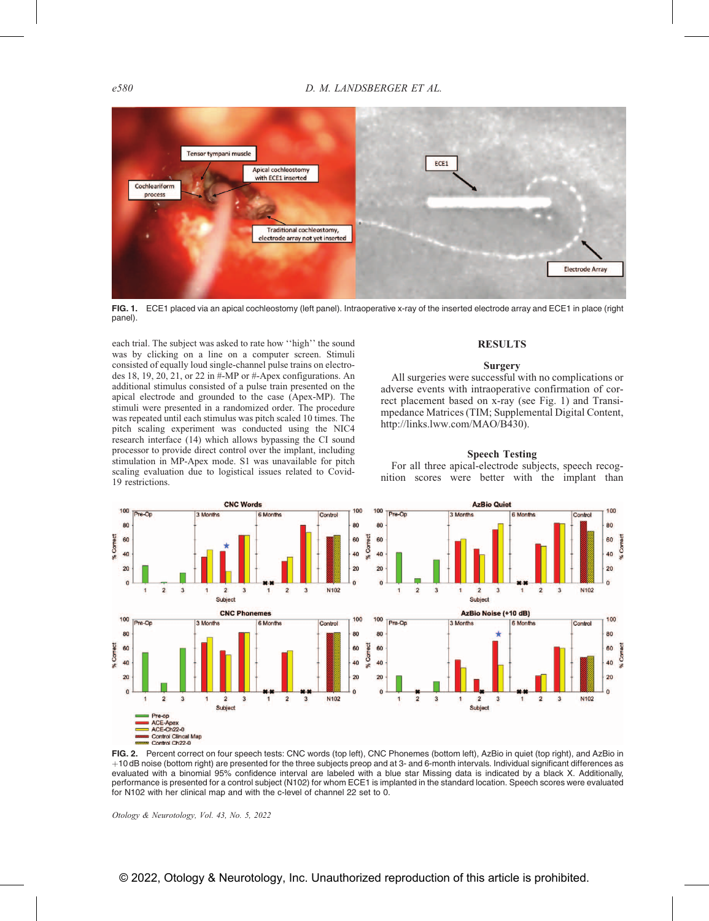

FIG. 1. ECE1 placed via an apical cochleostomy (left panel). Intraoperative x-ray of the inserted electrode array and ECE1 in place (right panel).

each trial. The subject was asked to rate how ''high'' the sound was by clicking on a line on a computer screen. Stimuli consisted of equally loud single-channel pulse trains on electrodes 18, 19, 20, 21, or 22 in #-MP or #-Apex configurations. An additional stimulus consisted of a pulse train presented on the apical electrode and grounded to the case (Apex-MP). The stimuli were presented in a randomized order. The procedure was repeated until each stimulus was pitch scaled 10 times. The pitch scaling experiment was conducted using the NIC4 research interface [\(14\)](#page-3-0) which allows bypassing the CI sound processor to provide direct control over the implant, including stimulation in MP-Apex mode. S1 was unavailable for pitch scaling evaluation due to logistical issues related to Covid-19 restrictions.

# RESULTS

# **Surgery**

All surgeries were successful with no complications or adverse events with intraoperative confirmation of correct placement based on x-ray (see Fig. 1) and Transimpedance Matrices (TIM; Supplemental Digital Content, [http://links.lww.com/MAO/B430\)](http://links.lww.com/MAO/B430).

# Speech Testing

For all three apical-electrode subjects, speech recognition scores were better with the implant than



FIG. 2. Percent correct on four speech tests: CNC words (top left), CNC Phonemes (bottom left), AzBio in quiet (top right), and AzBio in þ10 dB noise (bottom right) are presented for the three subjects preop and at 3- and 6-month intervals. Individual significant differences as evaluated with a binomial 95% confidence interval are labeled with a blue star Missing data is indicated by a black X. Additionally, performance is presented for a control subject (N102) for whom ECE1 is implanted in the standard location. Speech scores were evaluated for N102 with her clinical map and with the c-level of channel 22 set to 0.

Otology & Neurotology, Vol. 43, No. 5, 2022

# © 2022, Otology & Neurotology, Inc. Unauthorized reproduction of this article is prohibited.